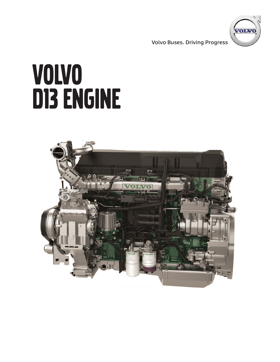**Volvo Buses. Driving Progress**



# VOLVO D13 ENGINE

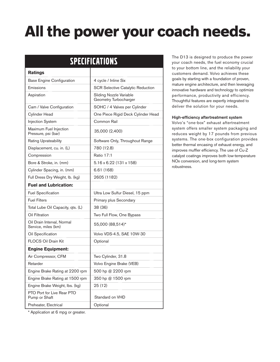# **All the power your coach needs.**

| <b>SPECIFICATIONS</b>                             |                                                  |
|---------------------------------------------------|--------------------------------------------------|
| <b>Ratings</b>                                    |                                                  |
| <b>Base Engine Configuration</b>                  | 4 cycle / Inline Six                             |
| Emissions                                         | <b>SCR Selective Catalytic Reduction</b>         |
| Aspiration                                        | Sliding Nozzle Variable<br>Geometry Turbocharger |
| Cam / Valve Configuration                         | SOHC / 4 Valves per Cylinder                     |
| <b>Cylinder Head</b>                              | One Piece Rigid Deck Cylinder Head               |
| <b>Injection System</b>                           | Common Rail                                      |
| Maximum Fuel Injection<br>Pressure, psi (bar)     | 35,000 (2,400)                                   |
| <b>Rating Uprateability</b>                       | Software Only, Throughout Range                  |
| Displacement, cu. in. (L)                         | 780 (12.8)                                       |
| Compression                                       | <b>Ratio 17:1</b>                                |
| Bore & Stroke, in. (mm)                           | 5.16 x 6.22 (131 x 158)                          |
| Cylinder Spacing, in. (mm)                        | 6.61(168)                                        |
| Full Dress Dry Weight, lb. (kg)                   | 2605 (1182)                                      |
| <b>Fuel and Lubrication:</b>                      |                                                  |
| <b>Fuel Specification</b>                         | Ultra Low Sulfur Diesel, 15 ppm                  |
| <b>Fuel Filters</b>                               | Primary plus Secondary                           |
| Total Lube Oil Capacity, qts. (L)                 | 38 (36)                                          |
| Oil Filtration                                    | Two Full Flow, One Bypass                        |
| Oil Drain Interval, Normal<br>Service, miles (km) | 55,000 (88,514)*                                 |
| Oil Specification                                 | Volvo VDS-4.5, SAE 10W-30                        |
| <b>FLOCS Oil Drain Kit</b>                        | Optional                                         |
| <b>Engine Equipment:</b>                          |                                                  |
| Air Compressor, CFM                               | Two Cylinder, 31.8                               |
| Retarder                                          | Volvo Engine Brake (VEB)                         |
| Engine Brake Rating at 2200 rpm                   | 500 hp @ 2200 rpm                                |
| Engine Brake Rating at 1500 rpm                   | 350 hp @ 1500 rpm                                |
| Engine Brake Weight, Ibs. (kg)                    | 25(12)                                           |
| PTO Port for Live Rear PTO<br>Pump or Shaft       | Standard on VHD                                  |
| Preheater, Electrical                             | Optional                                         |

The D13 is designed to produce the power your coach needs, the fuel economy crucial to your bottom line, and the reliability your customers demand. Volvo achieves these goals by starting with a foundation of proven, mature engine architecture, and then leveraging innovative hardware and technology to optimize performance, productivity and efficiency. Thoughtful features are expertly integrated to deliver the solution for your needs.

#### **High-efficiency aftertreatment system**

Volvo's "one-box" exhaust aftertreatment system offers smaller system packaging and reduces weight by 17 pounds from previous systems. The one-box configuration provides better thermal encasing of exhaust energy, and improves muffler efficiency. The use of Cu-Z catalyst coatings improves both low-temperature NOx conversion, and long-term system robustness.

\* Application at 6 mpg or greater.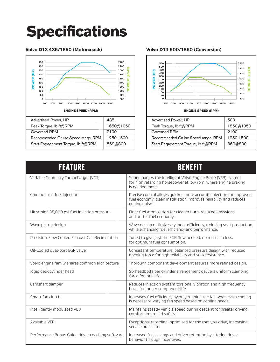# **Specifications**

### **Volvo D13 435/1650 (Motorcoach)**



#### **Volvo D13 500/1850 (Conversion)**



| <b>FEATURE</b>                                   | <b>BENEFIT</b>                                                                                                                                             |
|--------------------------------------------------|------------------------------------------------------------------------------------------------------------------------------------------------------------|
| Variable Geometry Turbocharger (VGT)             | Supercharges the intelligent Volvo Engine Brake (VEB) system<br>for high retarding horsepower at low rpm, where engine braking<br>is needed most.          |
| Common-rail fuel injection                       | Precise control allows quicker, more accurate injection for improved<br>fuel economy; clean installation improves reliability and reduces<br>engine noise. |
| Ultra-high 35,000 psi fuel injection pressure    | Finer fuel atomization for cleaner burn, reduced emissions<br>and better fuel economy.                                                                     |
| Wave piston design                               | Wave design optimizes cylinder efficiency, reducing soot production<br>while enhancing fuel efficiency and performance.                                    |
| Precision-Flow Cooled Exhaust Gas Recirculation  | Tuned to give just the EGR flow needed, no more, no less,<br>for optimum fuel consumption.                                                                 |
| Oil-Cooled dual-port EGR valve                   | Consistent temperature; balanced pressure design with reduced<br>opening force for high reliability and stick resistance.                                  |
| Volvo engine family shares common architecture   | Thorough component development assures more refined design.                                                                                                |
| Rigid deck cylinder head                         | Six headbolts per cylinder arrangement delivers uniform clamping<br>force for long life.                                                                   |
| Camshaft damper                                  | Reduces injection system torsional vibration and high frequency<br>buzz, for longer component life.                                                        |
| Smart fan clutch                                 | Increases fuel efficiency by only running the fan when extra cooling<br>is necessary, varying fan speed based on cooling needs.                            |
| Intelligently modulated VEB                      | Maintains steady vehicle speed during descent for greater driving<br>comfort, improved safety.                                                             |
| Available VEB                                    | Exceptional retarding, optimized for the rpm you drive, increasing<br>service brake life.                                                                  |
| Performance Bonus Guide driver coaching software | Increased fuel savings and driver retention by altering driver<br>behavior through incentives.                                                             |